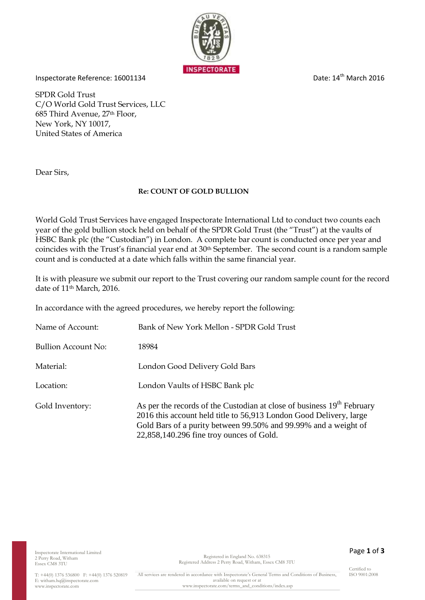

Inspectorate Reference: 16001134 Date: 14<sup>th</sup> March 2016

SPDR Gold Trust C/O World Gold Trust Services, LLC 685 Third Avenue, 27th Floor, New York, NY 10017, United States of America

Dear Sirs,

## **Re: COUNT OF GOLD BULLION**

World Gold Trust Services have engaged Inspectorate International Ltd to conduct two counts each year of the gold bullion stock held on behalf of the SPDR Gold Trust (the "Trust") at the vaults of HSBC Bank plc (the "Custodian") in London. A complete bar count is conducted once per year and coincides with the Trust's financial year end at 30th September. The second count is a random sample count and is conducted at a date which falls within the same financial year.

It is with pleasure we submit our report to the Trust covering our random sample count for the record date of 11<sup>th</sup> March, 2016.

In accordance with the agreed procedures, we hereby report the following:

| Name of Account:           | Bank of New York Mellon - SPDR Gold Trust                                                                                                                                                                                                                               |
|----------------------------|-------------------------------------------------------------------------------------------------------------------------------------------------------------------------------------------------------------------------------------------------------------------------|
| <b>Bullion Account No:</b> | 18984                                                                                                                                                                                                                                                                   |
| Material:                  | London Good Delivery Gold Bars                                                                                                                                                                                                                                          |
| Location:                  | London Vaults of HSBC Bank plc                                                                                                                                                                                                                                          |
| Gold Inventory:            | As per the records of the Custodian at close of business 19 <sup>th</sup> February<br>2016 this account held title to 56,913 London Good Delivery, large<br>Gold Bars of a purity between 99.50% and 99.99% and a weight of<br>22,858,140.296 fine troy ounces of Gold. |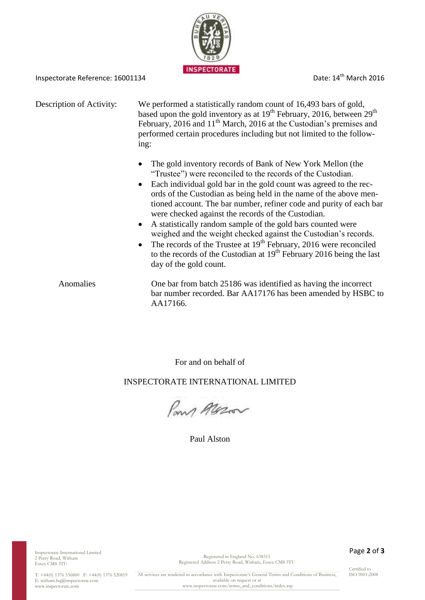

Inspectorate Reference: 16001134 Date: 14<sup>th</sup> March 2016

Description of Activity: We performed a statistically random count of 16,493 bars of gold, based upon the gold inventory as at  $19<sup>th</sup>$  February, 2016, between  $29<sup>th</sup>$ February, 2016 and 11<sup>th</sup> March, 2016 at the Custodian's premises and performed certain procedures including but not limited to the following:

- The gold inventory records of Bank of New York Mellon (the "Trustee") were reconciled to the records of the Custodian.
- Each individual gold bar in the gold count was agreed to the records of the Custodian as being held in the name of the above mentioned account. The bar number, refiner code and purity of each bar were checked against the records of the Custodian.
- A statistically random sample of the gold bars counted were weighed and the weight checked against the Custodian's records.
- The records of the Trustee at  $19<sup>th</sup>$  February, 2016 were reconciled to the records of the Custodian at  $19<sup>th</sup>$  February 2016 being the last day of the gold count.

Anomalies One bar from batch 25186 was identified as having the incorrect bar number recorded. Bar AA17176 has been amended by HSBC to AA17166.

For and on behalf of

## INSPECTORATE INTERNATIONAL LIMITED

Pans Messon

Paul Alston